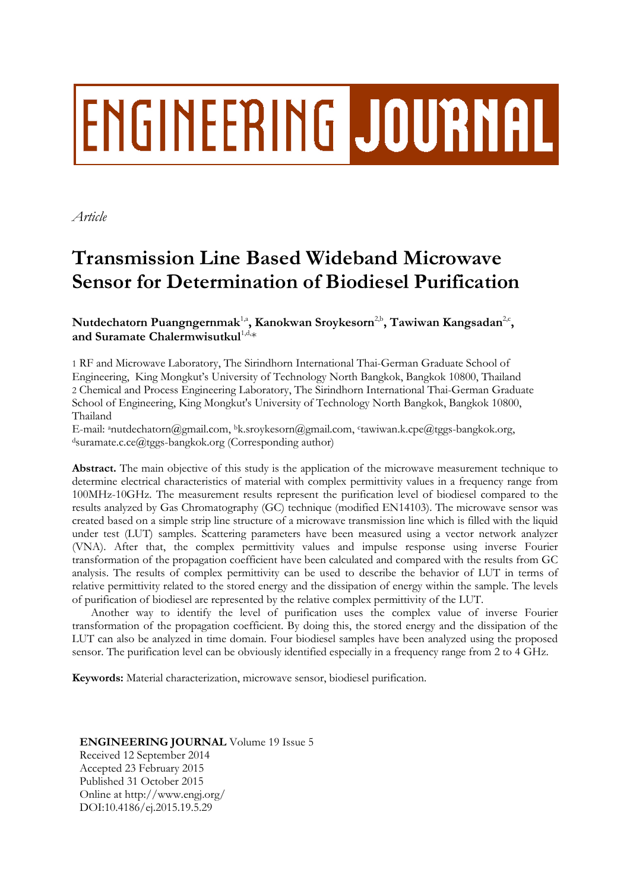# **ENGINEERING JOURNAL**

*Article*

# **Transmission Line Based Wideband Microwave Sensor for Determination of Biodiesel Purification**

# $\mathbf{N}$ utdechatorn  $\mathbf{P}$ uangngernmak $^{1, \mathsf{a}}, \mathbf{K}$ anokwan Sroykesorn $^{2, \mathsf{b}}, \mathbf{T}$ awiwan  $\mathbf{K}$ angsadan $^{2, \mathsf{c}}, \mathbf{K}$ and Suramate Chalermwisutkul<sup>1,d,\*</sup>

1 RF and Microwave Laboratory, The Sirindhorn International Thai-German Graduate School of Engineering, King Mongkut's University of Technology North Bangkok, Bangkok 10800, Thailand 2 Chemical and Process Engineering Laboratory, The Sirindhorn International Thai-German Graduate School of Engineering, King Mongkut's University of Technology North Bangkok, Bangkok 10800, Thailand

E-mail: anutdechatorn@gmail.com, bk.sroykesorn@gmail.com, c tawiwan.k.cpe@tggs-bangkok.org, <sup>d</sup>suramate.c.ce@tggs-bangkok.org (Corresponding author)

**Abstract.** The main objective of this study is the application of the microwave measurement technique to determine electrical characteristics of material with complex permittivity values in a frequency range from 100MHz-10GHz. The measurement results represent the purification level of biodiesel compared to the results analyzed by Gas Chromatography (GC) technique (modified EN14103). The microwave sensor was created based on a simple strip line structure of a microwave transmission line which is filled with the liquid under test (LUT) samples. Scattering parameters have been measured using a vector network analyzer (VNA). After that, the complex permittivity values and impulse response using inverse Fourier transformation of the propagation coefficient have been calculated and compared with the results from GC analysis. The results of complex permittivity can be used to describe the behavior of LUT in terms of relative permittivity related to the stored energy and the dissipation of energy within the sample. The levels of purification of biodiesel are represented by the relative complex permittivity of the LUT.

Another way to identify the level of purification uses the complex value of inverse Fourier transformation of the propagation coefficient. By doing this, the stored energy and the dissipation of the LUT can also be analyzed in time domain. Four biodiesel samples have been analyzed using the proposed sensor. The purification level can be obviously identified especially in a frequency range from 2 to 4 GHz.

**Keywords:** Material characterization, microwave sensor, biodiesel purification.

## **ENGINEERING JOURNAL** Volume 19 Issue 5

Received 12 September 2014 Accepted 23 February 2015 Published 31 October 2015 Online at http://www.engj.org/ DOI:10.4186/ej.2015.19.5.29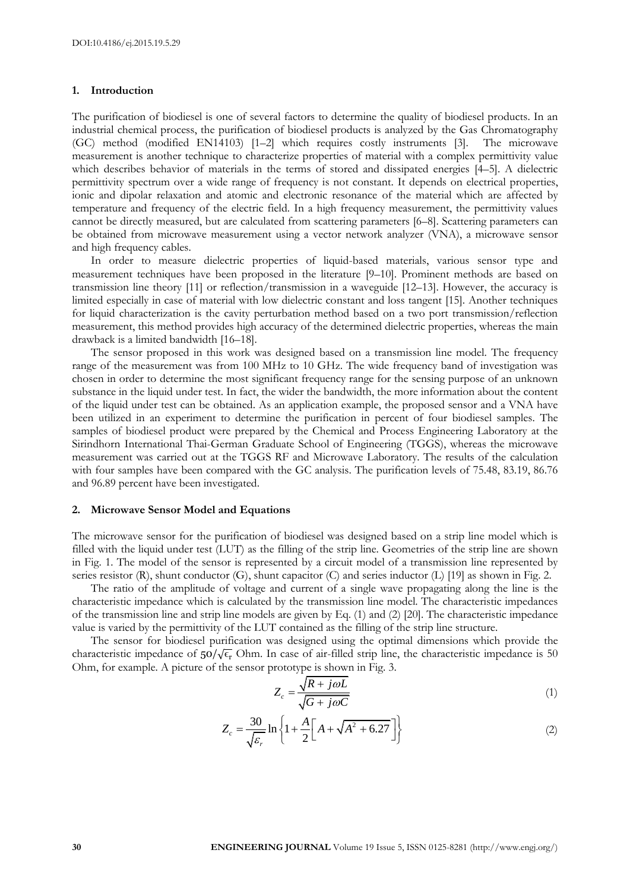#### **1. Introduction**

The purification of biodiesel is one of several factors to determine the quality of biodiesel products. In an industrial chemical process, the purification of biodiesel products is analyzed by the Gas Chromatography (GC) method (modified EN14103) [1–2] which requires costly instruments [3]. The microwave measurement is another technique to characterize properties of material with a complex permittivity value which describes behavior of materials in the terms of stored and dissipated energies [4–5]. A dielectric permittivity spectrum over a wide range of frequency is not constant. It depends on electrical properties, ionic and dipolar relaxation and atomic and electronic resonance of the material which are affected by temperature and frequency of the electric field. In a high frequency measurement, the permittivity values cannot be directly measured, but are calculated from scattering parameters [6–8]. Scattering parameters can be obtained from microwave measurement using a vector network analyzer (VNA), a microwave sensor and high frequency cables.

In order to measure dielectric properties of liquid-based materials, various sensor type and measurement techniques have been proposed in the literature [9–10]. Prominent methods are based on transmission line theory [11] or reflection/transmission in a waveguide [12–13]. However, the accuracy is limited especially in case of material with low dielectric constant and loss tangent [15]. Another techniques for liquid characterization is the cavity perturbation method based on a two port transmission/reflection measurement, this method provides high accuracy of the determined dielectric properties, whereas the main drawback is a limited bandwidth [16–18].

The sensor proposed in this work was designed based on a transmission line model. The frequency range of the measurement was from 100 MHz to 10 GHz. The wide frequency band of investigation was chosen in order to determine the most significant frequency range for the sensing purpose of an unknown substance in the liquid under test. In fact, the wider the bandwidth, the more information about the content of the liquid under test can be obtained. As an application example, the proposed sensor and a VNA have been utilized in an experiment to determine the purification in percent of four biodiesel samples. The samples of biodiesel product were prepared by the Chemical and Process Engineering Laboratory at the Sirindhorn International Thai-German Graduate School of Engineering (TGGS), whereas the microwave measurement was carried out at the TGGS RF and Microwave Laboratory. The results of the calculation with four samples have been compared with the GC analysis. The purification levels of 75.48, 83.19, 86.76 and 96.89 percent have been investigated.

#### **2. Microwave Sensor Model and Equations**

The microwave sensor for the purification of biodiesel was designed based on a strip line model which is filled with the liquid under test (LUT) as the filling of the strip line. Geometries of the strip line are shown in Fig. 1. The model of the sensor is represented by a circuit model of a transmission line represented by series resistor (R), shunt conductor (G), shunt capacitor (C) and series inductor (L) [19] as shown in Fig. 2.

The ratio of the amplitude of voltage and current of a single wave propagating along the line is the characteristic impedance which is calculated by the transmission line model. The characteristic impedances of the transmission line and strip line models are given by Eq. (1) and (2) [20]. The characteristic impedance value is varied by the permittivity of the LUT contained as the filling of the strip line structure.

The sensor for biodiesel purification was designed using the optimal dimensions which provide the characteristic impedance of  $50/\sqrt{\epsilon_r}$  Ohm. In case of air-filled strip line, the characteristic impedance is 50 Ohm, for example. A picture of the sensor prototype is shown in Fig. 3.

$$
Z_c = \frac{\sqrt{R + j\omega L}}{\sqrt{G + j\omega C}}\tag{1}
$$

$$
\sqrt{6 + \mu c}
$$
  

$$
Z_c = \frac{30}{\sqrt{\varepsilon_r}} \ln \left\{ 1 + \frac{A}{2} \left[ A + \sqrt{A^2 + 6.27} \right] \right\}
$$
 (2)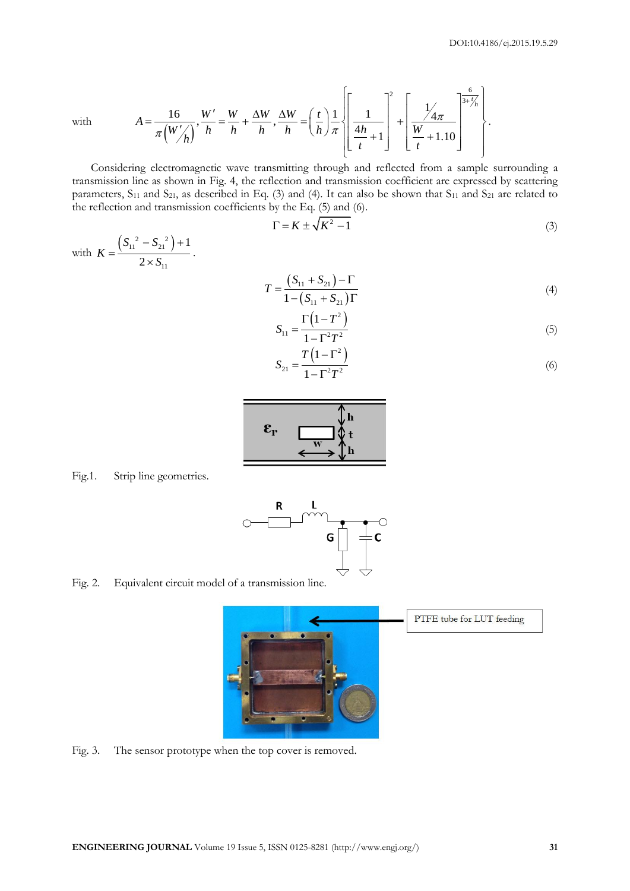with

$$
A = \frac{16}{\pi \left( \frac{W'}{h} \right)}, \frac{W'}{h} = \frac{W}{h} + \frac{\Delta W}{h}, \frac{\Delta W}{h} = \left( \frac{t}{h} \right) \frac{1}{\pi} \left\{ \left[ \frac{1}{\frac{4h}{t} + 1} \right]^2 + \left[ \frac{\frac{1}{4\pi}}{\frac{W}{t} + 1.10} \right] \right\}.
$$

Considering electromagnetic wave transmitting through and reflected from a sample surrounding a transmission line as shown in Fig. 4, the reflection and transmission coefficient are expressed by scattering parameters,  $S_{11}$  and  $S_{21}$ , as described in Eq. (3) and (4). It can also be shown that  $S_{11}$  and  $S_{21}$  are related to the reflection and transmission coefficients by the Eq. (5) and (6).

$$
\Gamma = K \pm \sqrt{K^2 - 1} \tag{3}
$$

with  $(S_{11}^2 - S_{21}^2)$ 11 1 2  $S_{11}^2 - S$ *K S*  $-S_{21}^{2}$  + 1  $=$  $\frac{1}{1} \times S_{11}$ .

$$
T = \frac{(S_{11} + S_{21}) - \Gamma}{1 - (S_{11} + S_{21})\Gamma}
$$
\n(4)

$$
S_{11} = \frac{\Gamma(1 - T^2)}{1 - \Gamma^2 T^2}
$$
 (5)

$$
S_{21} = \frac{T\left(1 - \Gamma^2\right)}{1 - \Gamma^2 T^2} \tag{6}
$$



### Fig.1. Strip line geometries.



Fig. 2. Equivalent circuit model of a transmission line.



Fig. 3. The sensor prototype when the top cover is removed.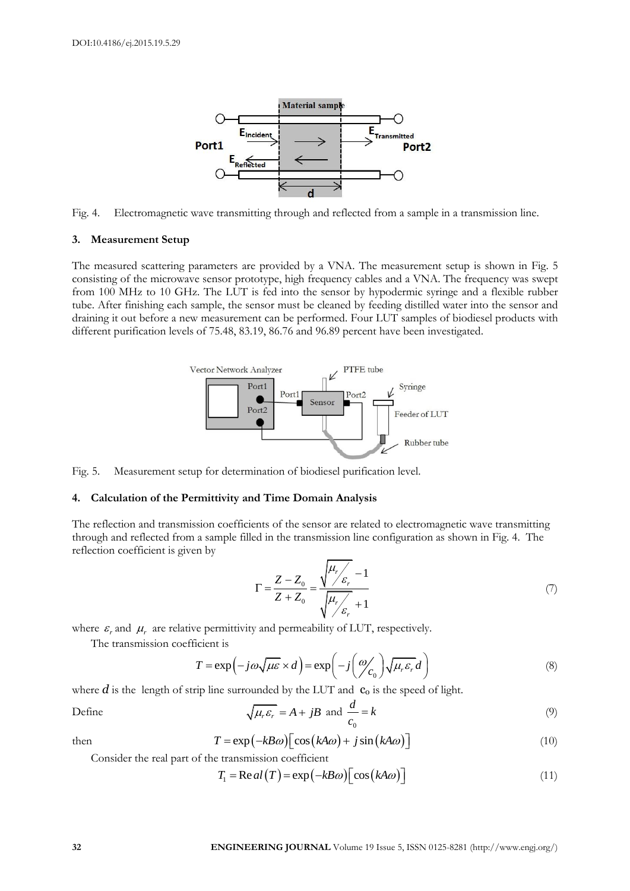

Fig. 4. Electromagnetic wave transmitting through and reflected from a sample in a transmission line.

#### **3. Measurement Setup**

The measured scattering parameters are provided by a VNA. The measurement setup is shown in Fig. 5 consisting of the microwave sensor prototype, high frequency cables and a VNA. The frequency was swept from 100 MHz to 10 GHz. The LUT is fed into the sensor by hypodermic syringe and a flexible rubber tube. After finishing each sample, the sensor must be cleaned by feeding distilled water into the sensor and draining it out before a new measurement can be performed. Four LUT samples of biodiesel products with different purification levels of 75.48, 83.19, 86.76 and 96.89 percent have been investigated.



Fig. 5. Measurement setup for determination of biodiesel purification level.

#### **4. Calculation of the Permittivity and Time Domain Analysis**

The reflection and transmission coefficients of the sensor are related to electromagnetic wave transmitting through and reflected from a sample filled in the transmission line configuration as shown in Fig. 4. The reflection coefficient is given by

$$
\Gamma = \frac{Z - Z_0}{Z + Z_0} = \frac{\sqrt{\frac{\mu_r}{\varepsilon_r} - 1}}{\sqrt{\frac{\mu_r}{\varepsilon_r} + 1}}
$$
(7)

where  $\varepsilon_r$  and  $\mu_r$  are relative permittivity and permeability of LUT, respectively.

The transmission coefficient is

ficient is  
\n
$$
T = \exp(-j\omega\sqrt{\mu\varepsilon} \times d) = \exp\left(-j\left(\frac{\omega}{c_0}\right)\sqrt{\mu_r\varepsilon_r}d\right)
$$
\n(8)

where  $d$  is the length of strip line surrounded by the LUT and  $c_0$  is the speed of light.

$$
\sqrt{\mu_r \varepsilon_r} = A + jB \text{ and } \frac{d}{c_0} = k \tag{9}
$$

then

Define

$$
T = \exp(-kB\omega)\left[\cos(kA\omega) + j\sin(kA\omega)\right]
$$
\n(10)

Consider the real part of the transmission coefficient  
\n
$$
T_1 = \text{Re}\,al(T) = \exp(-kB\omega)\left[\cos(kA\omega)\right]
$$
\n(11)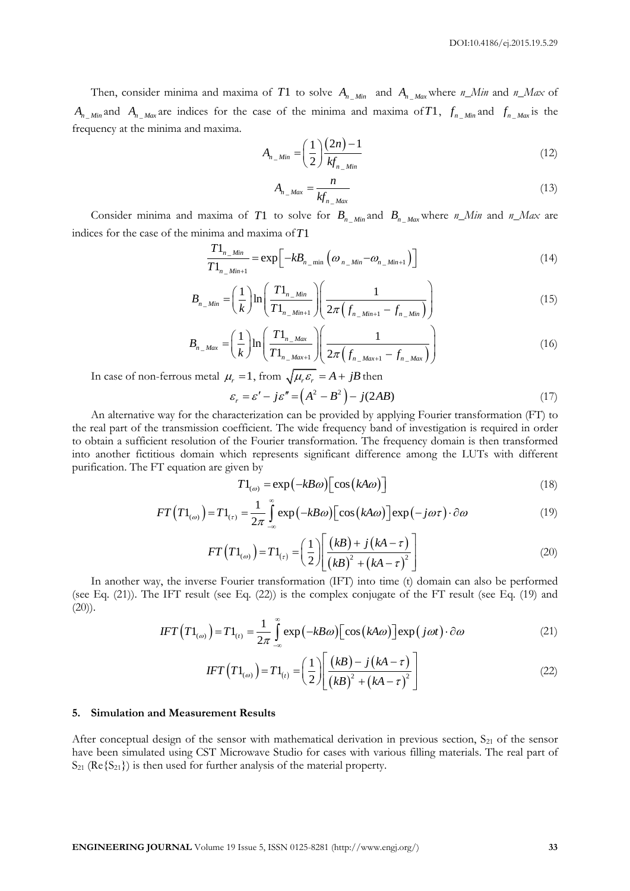Then, consider minima and maxima of T1 to solve  $A_{n_M}$  and  $A_{n_M}$  where  $n_M$  Min and  $n_M$  Max of  $A_{n_{1},m}$  and  $A_{n_{1},m}$  are indices for the case of the minima and maxima of T1,  $f_{n_{1},m}$  and  $f_{n_{1},m}$  is the frequency at the minima and maxima.

$$
A_{n\_Min} = \left(\frac{1}{2}\right) \frac{(2n)-1}{kf_{n\_Min}}\tag{12}
$$

$$
A_{n_{-}Max} = \frac{n}{k f_{n_{-}Max}}
$$
\n(13)

Consider minima and maxima of T1 to solve for  $B_{n_M}$  and  $B_{n_M}$  where  $n_M$  Min and  $n_M$  are indices for the case of the minima and maxima of *T*1

$$
\frac{T1_{n_M}m}{T1_{n_M}m} = \exp\left[-kB_{n_M}m} \left(\omega_{n_M}m} - \omega_{n_M}m} + 1}\right)\right]
$$
\n(14)

$$
T1_{n_{-}Min+1} = \exp\left[-\frac{N\omega_{n_{-}min}}{n_{-}Min}\left(\frac{N\omega_{n_{-}Min}}{n_{-}Min}\right)\right]
$$
\n
$$
B_{n_{-}Min} = \left(\frac{1}{k}\right) \ln\left(\frac{T1_{n_{-}Min}}{T1_{n_{-}Min+1}}\right) \left(\frac{1}{2\pi\left(f_{n_{-}Min+1} - f_{n_{-}Min}\right)}\right)
$$
\n
$$
B_{n_{-}Min} = \left(\frac{1}{k}\right) \ln\left(\frac{T1_{n_{-}Max}}{n_{-}max}\right) \left(\frac{1}{2\pi\left(f_{n_{-}Min+1} - f_{n_{-}Min}\right)}\right)
$$
\n(16)

$$
(k) \quad (I_{n_{n_{m_{m_{m}}}}}] \quad (2\pi \left( J_{n_{m_{m_{m}}}} - J_{n_{m_{m}}}\right))
$$
\n
$$
B_{n_{m_{m}}}\left( \frac{1}{k} \right) \ln \left( \frac{T_{n_{m_{m}}}}{T_{n_{m_{m}}}} \right) \left( \frac{1}{2\pi \left( f_{n_{m_{m}}}} - f_{n_{m_{m}}}\right)} \right) \tag{16}
$$

In case of non-ferrous metal  $\mu_r = 1$ , from  $\sqrt{\mu_r \varepsilon_r} = A + jB$  then<br>  $\varepsilon_r = \varepsilon' - j\varepsilon'' = (A^2 - B^2) - j(2AB)$ 

$$
\varepsilon_r = \varepsilon' - j\varepsilon'' = \left(A^2 - B^2\right) - j(2AB) \tag{17}
$$

An alternative way for the characterization can be provided by applying Fourier transformation (FT) to the real part of the transmission coefficient. The wide frequency band of investigation is required in order to obtain a sufficient resolution of the Fourier transformation. The frequency domain is then transformed into another fictitious domain which represents significant difference among the LUTs with different purification. The FT equation are given by

$$
T1_{(\omega)} = \exp(-kB\omega)\left[\cos(kA\omega)\right]
$$
 (18)

$$
T1_{(\omega)} = \exp(-kB\omega)\left[\cos(kA\omega)\right]
$$
\n
$$
FT\left(T1_{(\omega)}\right) = T1_{(\tau)} = \frac{1}{2\pi} \int_{-\infty}^{\infty} \exp(-kB\omega)\left[\cos(kA\omega)\right] \exp(-j\omega\tau) \cdot \partial\omega
$$
\n(19)

$$
FT(T1_{(o)}) = T1_{(\tau)} = \left(\frac{1}{2}\right) \left[\frac{(kB) + j(ka - \tau)}{(kB)^2 + (ka - \tau)^2}\right]
$$
(20)

In another way, the inverse Fourier transformation (IFT) into time (t) domain can also be performed (see Eq. (21)). The IFT result (see Eq. (22)) is the complex conjugate of the FT result (see Eq. (19) and (20)).<br> *IFT*  $(T1_{(\omega)}) = T1_{(t)} = \frac{1}{2\pi} \int_{-\infty}^{\infty} \exp(-kB\omega) [\cos(ka\omega)] \exp(j\omega t) \cdot \partial \omega$  (21)  $(20)$ ).

$$
IFT(T1_{(a)}) = T1_{(t)} = \frac{1}{2\pi} \int_{-\infty}^{\infty} \exp(-kB\omega) [\cos(ka\omega)] \exp(j\omega t) \cdot \partial \omega
$$
 (21)

$$
IFT(T1_{(o)}) = T1_{(t)} = \left(\frac{1}{2}\right) \left[ \frac{(kB) - j(ka - \tau)}{(kB)^2 + (ka - \tau)^2} \right]
$$
(22)

#### **5. Simulation and Measurement Results**

After conceptual design of the sensor with mathematical derivation in previous section,  $S_{21}$  of the sensor have been simulated using CST Microwave Studio for cases with various filling materials. The real part of  $S_{21}$  (Re { $S_{21}$ }) is then used for further analysis of the material property.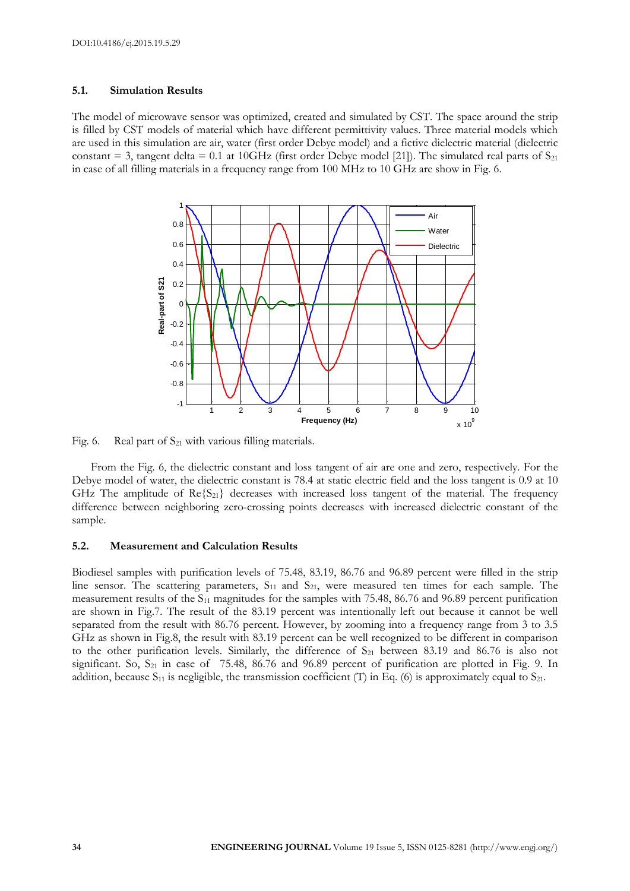#### **5.1. Simulation Results**

The model of microwave sensor was optimized, created and simulated by CST. The space around the strip is filled by CST models of material which have different permittivity values. Three material models which are used in this simulation are air, water (first order Debye model) and a fictive dielectric material (dielectric constant = 3, tangent delta = 0.1 at 10GHz (first order Debye model [21]). The simulated real parts of  $S_{21}$ in case of all filling materials in a frequency range from 100 MHz to 10 GHz are show in Fig. 6.



Fig. 6. Real part of  $S_{21}$  with various filling materials.

From the Fig. 6, the dielectric constant and loss tangent of air are one and zero, respectively. For the Debye model of water, the dielectric constant is 78.4 at static electric field and the loss tangent is 0.9 at 10 GHz The amplitude of  $\text{Re}\{S_{21}\}\)$  decreases with increased loss tangent of the material. The frequency difference between neighboring zero-crossing points decreases with increased dielectric constant of the sample.

#### **5.2. Measurement and Calculation Results**

Biodiesel samples with purification levels of 75.48, 83.19, 86.76 and 96.89 percent were filled in the strip line sensor. The scattering parameters,  $S_{11}$  and  $S_{21}$ , were measured ten times for each sample. The measurement results of the S<sub>11</sub> magnitudes for the samples with 75.48, 86.76 and 96.89 percent purification are shown in Fig.7. The result of the 83.19 percent was intentionally left out because it cannot be well separated from the result with 86.76 percent. However, by zooming into a frequency range from 3 to 3.5 GHz as shown in Fig.8, the result with 83.19 percent can be well recognized to be different in comparison to the other purification levels. Similarly, the difference of  $S_{21}$  between 83.19 and 86.76 is also not significant. So,  $S_{21}$  in case of 75.48, 86.76 and 96.89 percent of purification are plotted in Fig. 9. In addition, because  $S_{11}$  is negligible, the transmission coefficient (T) in Eq. (6) is approximately equal to  $S_{21}$ .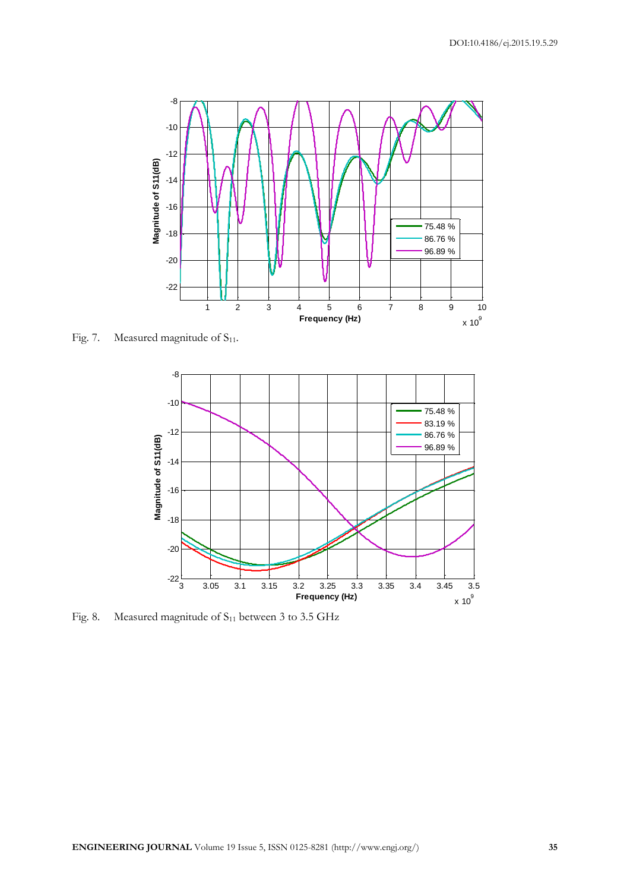

Fig. 7. Measured magnitude of  $S_{11}$ .



Fig. 8. Measured magnitude of S<sub>11</sub> between 3 to 3.5 GHz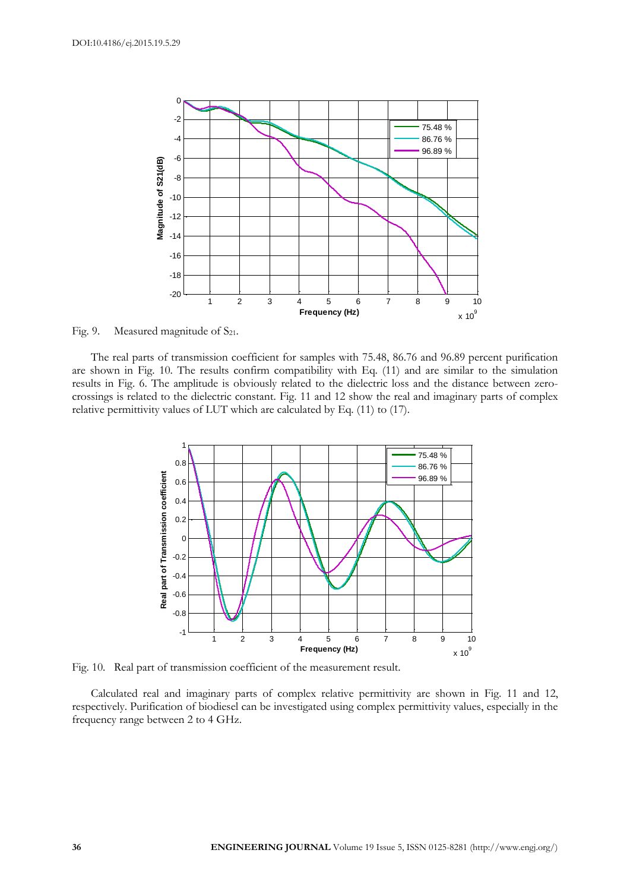

Fig. 9. Measured magnitude of  $S_{21}$ .

The real parts of transmission coefficient for samples with 75.48, 86.76 and 96.89 percent purification are shown in Fig. 10. The results confirm compatibility with Eq. (11) and are similar to the simulation results in Fig. 6. The amplitude is obviously related to the dielectric loss and the distance between zerocrossings is related to the dielectric constant. Fig. 11 and 12 show the real and imaginary parts of complex relative permittivity values of LUT which are calculated by Eq. (11) to (17).



Fig. 10. Real part of transmission coefficient of the measurement result.

Calculated real and imaginary parts of complex relative permittivity are shown in Fig. 11 and 12, respectively. Purification of biodiesel can be investigated using complex permittivity values, especially in the frequency range between 2 to 4 GHz.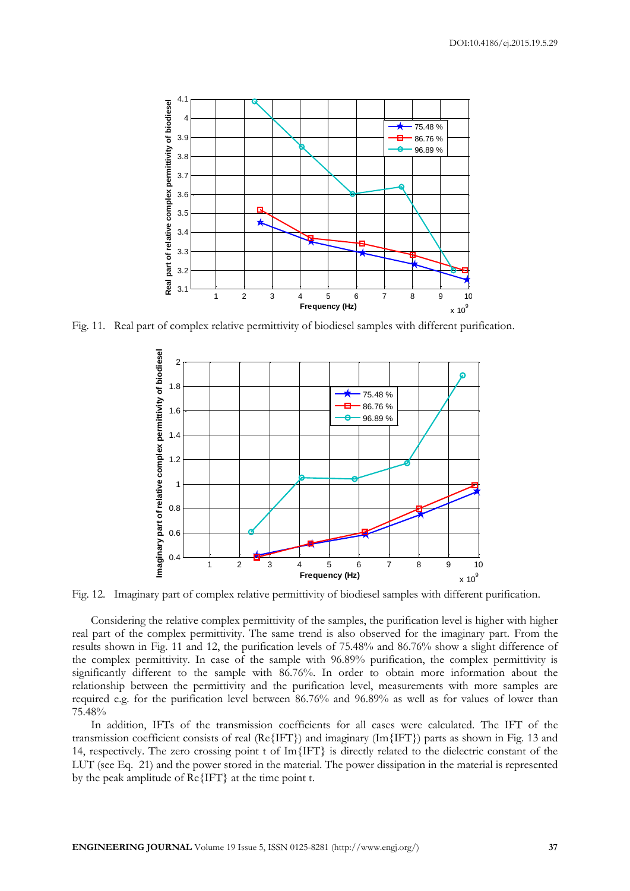

Fig. 11. Real part of complex relative permittivity of biodiesel samples with different purification.



Fig. 12. Imaginary part of complex relative permittivity of biodiesel samples with different purification.

Considering the relative complex permittivity of the samples, the purification level is higher with higher real part of the complex permittivity. The same trend is also observed for the imaginary part. From the results shown in Fig. 11 and 12, the purification levels of 75.48% and 86.76% show a slight difference of the complex permittivity. In case of the sample with 96.89% purification, the complex permittivity is significantly different to the sample with 86.76%. In order to obtain more information about the relationship between the permittivity and the purification level, measurements with more samples are required e.g. for the purification level between 86.76% and 96.89% as well as for values of lower than 75.48%

In addition, IFTs of the transmission coefficients for all cases were calculated. The IFT of the transmission coefficient consists of real (Re $\{IFT\}$ ) and imaginary (Im $\{IFT\}$ ) parts as shown in Fig. 13 and 14, respectively. The zero crossing point t of Im{IFT} is directly related to the dielectric constant of the LUT (see Eq. 21) and the power stored in the material. The power dissipation in the material is represented by the peak amplitude of Re{IFT} at the time point t.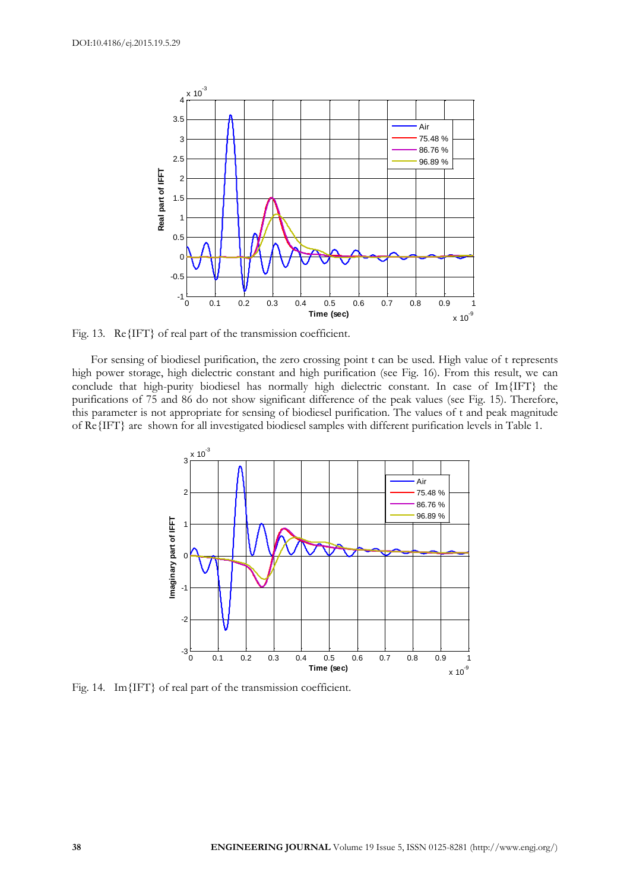

Fig. 13. Re{IFT} of real part of the transmission coefficient.

For sensing of biodiesel purification, the zero crossing point t can be used. High value of t represents high power storage, high dielectric constant and high purification (see Fig. 16). From this result, we can conclude that high-purity biodiesel has normally high dielectric constant. In case of Im{IFT} the purifications of 75 and 86 do not show significant difference of the peak values (see Fig. 15). Therefore, this parameter is not appropriate for sensing of biodiesel purification. The values of t and peak magnitude of Re{IFT} are shown for all investigated biodiesel samples with different purification levels in Table 1.



Fig. 14. Im{IFT} of real part of the transmission coefficient.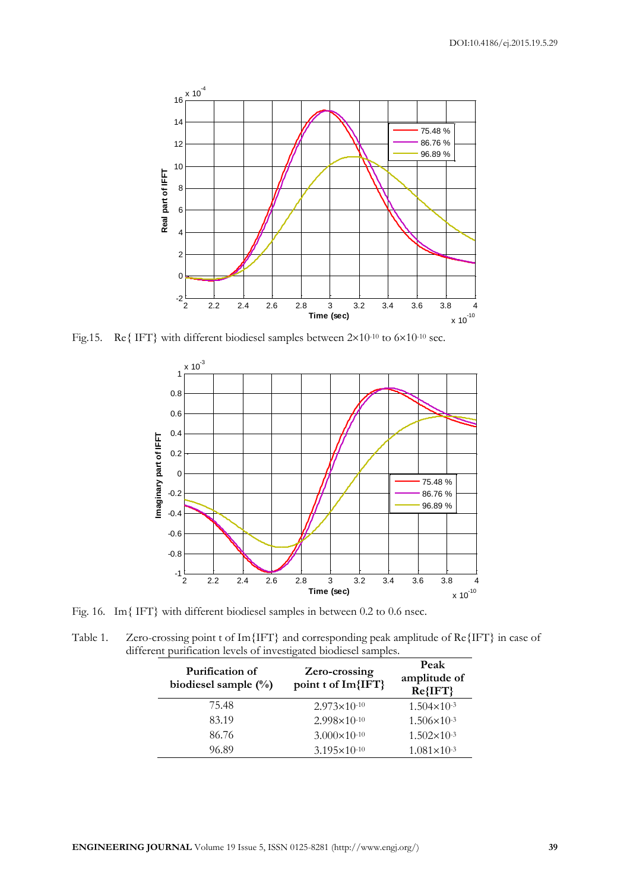

Fig.15. Re{ IFT} with different biodiesel samples between  $2\times10^{-10}$  to  $6\times10^{-10}$  sec.



Fig. 16. Im{ IFT} with different biodiesel samples in between 0.2 to 0.6 nsec.

Table 1. Zero-crossing point t of Im{IFT} and corresponding peak amplitude of Re{IFT} in case of different purification levels of investigated biodiesel samples.

| Purification of<br>biodiesel sample $(\%)$ | Zero-crossing<br>point t of Im{IFT} | Peak<br>amplitude of<br>$Re\{IFT\}$ |
|--------------------------------------------|-------------------------------------|-------------------------------------|
| 75.48                                      | $2.973 \times 10^{-10}$             | $1.504 \times 10^{-3}$              |
| 83.19                                      | $2.998 \times 10^{-10}$             | $1.506 \times 10^{-3}$              |
| 86.76                                      | $3.000 \times 10^{-10}$             | $1.502 \times 10^{-3}$              |
| 96.89                                      | $3.195 \times 10^{-10}$             | $1.081 \times 10^{-3}$              |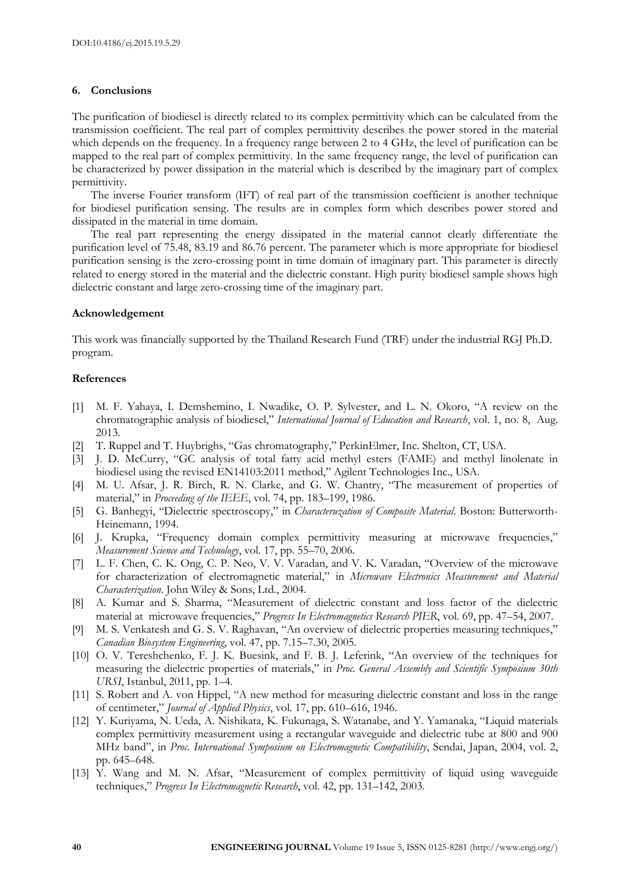#### **6. Conclusions**

The purification of biodiesel is directly related to its complex permittivity which can be calculated from the transmission coefficient. The real part of complex permittivity describes the power stored in the material which depends on the frequency. In a frequency range between 2 to 4 GHz, the level of purification can be mapped to the real part of complex permittivity. In the same frequency range, the level of purification can be characterized by power dissipation in the material which is described by the imaginary part of complex permittivity.

The inverse Fourier transform (IFT) of real part of the transmission coefficient is another technique for biodiesel purification sensing. The results are in complex form which describes power stored and dissipated in the material in time domain.

The real part representing the energy dissipated in the material cannot clearly differentiate the purification level of 75.48, 83.19 and 86.76 percent. The parameter which is more appropriate for biodiesel purification sensing is the zero-crossing point in time domain of imaginary part. This parameter is directly related to energy stored in the material and the dielectric constant. High purity biodiesel sample shows high dielectric constant and large zero-crossing time of the imaginary part.

#### **Acknowledgement**

This work was financially supported by the Thailand Research Fund (TRF) under the industrial RGJ Ph.D. program.

#### **References**

- [1] M. F. Yahaya, I. Demshemino, I. Nwadike, O. P. Sylvester, and L. N. Okoro, "A review on the chromatographic analysis of biodiesel," *International Journal of Education and Research*, vol. 1, no. 8, Aug. 2013.
- [2] T. Ruppel and T. Huybrighs, "Gas chromatography," PerkinElmer, Inc. Shelton, CT, USA.
- [3] J. D. McCurry, "GC analysis of total fatty acid methyl esters (FAME) and methyl linolenate in biodiesel using the revised EN14103:2011 method," Agilent Technologies Inc., USA.
- [4] M. U. Afsar, J. R. Birch, R. N. Clarke, and G. W. Chantry, "The measurement of properties of material," in *Proceeding of the IEEE*, vol. 74, pp. 183–199, 1986.
- [5] G. Banhegyi, "Dielectric spectroscopy," in *Characteruzation of Composite Material*. Boston: Butterworth-Heinemann, 1994.
- [6] J. Krupka, "Frequency domain complex permittivity measuring at microwave frequencies," *Measurement Science and Technology*, vol. 17, pp. 55–70, 2006.
- [7] L. F. Chen, C. K. Ong, C. P. Neo, V. V. Varadan, and V. K. Varadan, "Overview of the microwave for characterization of electromagnetic material," in *Microwave Electronics Measurement and Material Characterization*. John Wiley & Sons, Ltd., 2004.
- [8] A. Kumar and S. Sharma, "Measurement of dielectric constant and loss factor of the dielectric material at microwave frequencies," *Progress In Electromagnetics Research PIER*, vol. 69, pp. 47–54, 2007.
- [9] M. S. Venkatesh and G. S. V. Raghavan, "An overview of dielectric properties measuring techniques," *Canadian Biosystem Engineering*, vol. 47, pp. 7.15–7.30, 2005.
- [10] O. V. Tereshchenko, F. J. K. Buesink, and F. B. J. Leferink, "An overview of the techniques for measuring the dielectric properties of materials," in *Proc. General Assembly and Scientific Symposium 30th URSI*, Istanbul, 2011, pp. 1–4.
- [11] S. Robert and A. von Hippel, "A new method for measuring dielectric constant and loss in the range of centimeter," *Journal of Applied Physics*, vol. 17, pp. 610–616, 1946.
- [12] Y. Kuriyama, N. Ueda, A. Nishikata, K. Fukunaga, S. Watanabe, and Y. Yamanaka, "Liquid materials complex permittivity measurement using a rectangular waveguide and dielectric tube at 800 and 900 MHz band", in *Proc. International Symposium on Electromagnetic Compatibility*, Sendai, Japan, 2004, vol. 2, pp. 645–648.
- [13] Y. Wang and M. N. Afsar, "Measurement of complex permittivity of liquid using waveguide techniques," *Progress In Electromagnetic Research*, vol. 42, pp. 131–142, 2003.